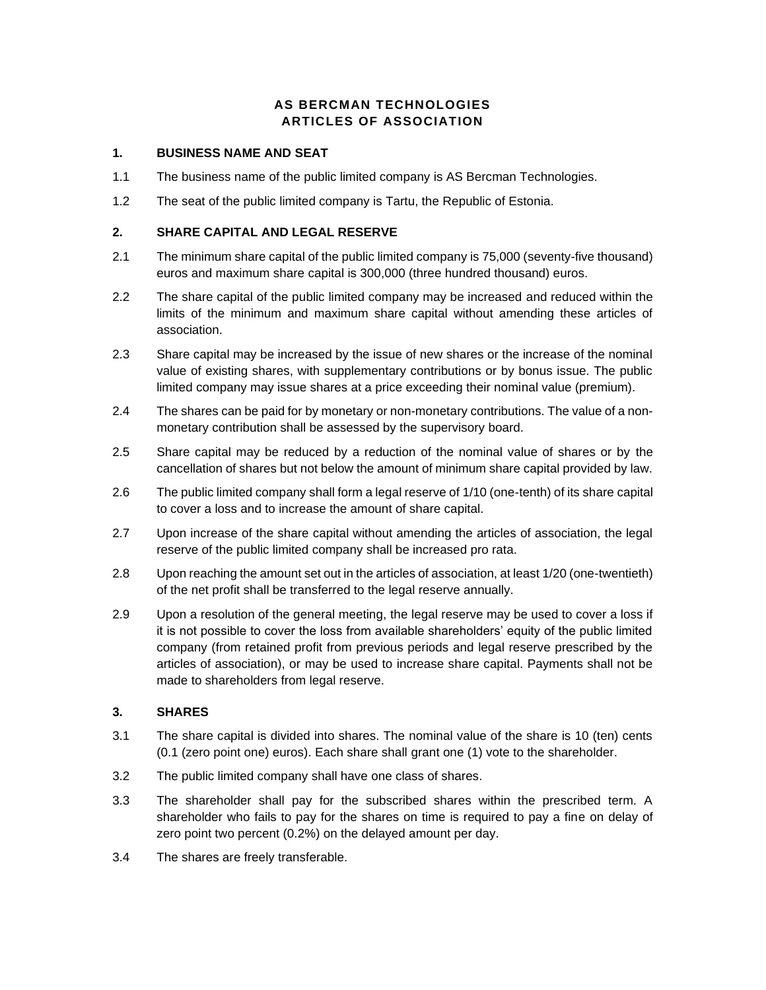# **AS BERCMAN TECHNOLOGIES ARTICLES OF ASSOCIATION**

### **1. BUSINESS NAME AND SEAT**

- 1.1 The business name of the public limited company is AS Bercman Technologies.
- 1.2 The seat of the public limited company is Tartu, the Republic of Estonia.

### **2. SHARE CAPITAL AND LEGAL RESERVE**

- 2.1 The minimum share capital of the public limited company is 75,000 (seventy-five thousand) euros and maximum share capital is 300,000 (three hundred thousand) euros.
- 2.2 The share capital of the public limited company may be increased and reduced within the limits of the minimum and maximum share capital without amending these articles of association.
- 2.3 Share capital may be increased by the issue of new shares or the increase of the nominal value of existing shares, with supplementary contributions or by bonus issue. The public limited company may issue shares at a price exceeding their nominal value (premium).
- 2.4 The shares can be paid for by monetary or non-monetary contributions. The value of a nonmonetary contribution shall be assessed by the supervisory board.
- 2.5 Share capital may be reduced by a reduction of the nominal value of shares or by the cancellation of shares but not below the amount of minimum share capital provided by law.
- 2.6 The public limited company shall form a legal reserve of 1/10 (one-tenth) of its share capital to cover a loss and to increase the amount of share capital.
- 2.7 Upon increase of the share capital without amending the articles of association, the legal reserve of the public limited company shall be increased pro rata.
- 2.8 Upon reaching the amount set out in the articles of association, at least 1/20 (one-twentieth) of the net profit shall be transferred to the legal reserve annually.
- 2.9 Upon a resolution of the general meeting, the legal reserve may be used to cover a loss if it is not possible to cover the loss from available shareholders' equity of the public limited company (from retained profit from previous periods and legal reserve prescribed by the articles of association), or may be used to increase share capital. Payments shall not be made to shareholders from legal reserve.

## **3. SHARES**

- 3.1 The share capital is divided into shares. The nominal value of the share is 10 (ten) cents (0.1 (zero point one) euros). Each share shall grant one (1) vote to the shareholder.
- 3.2 The public limited company shall have one class of shares.
- 3.3 The shareholder shall pay for the subscribed shares within the prescribed term. A shareholder who fails to pay for the shares on time is required to pay a fine on delay of zero point two percent (0.2%) on the delayed amount per day.
- 3.4 The shares are freely transferable.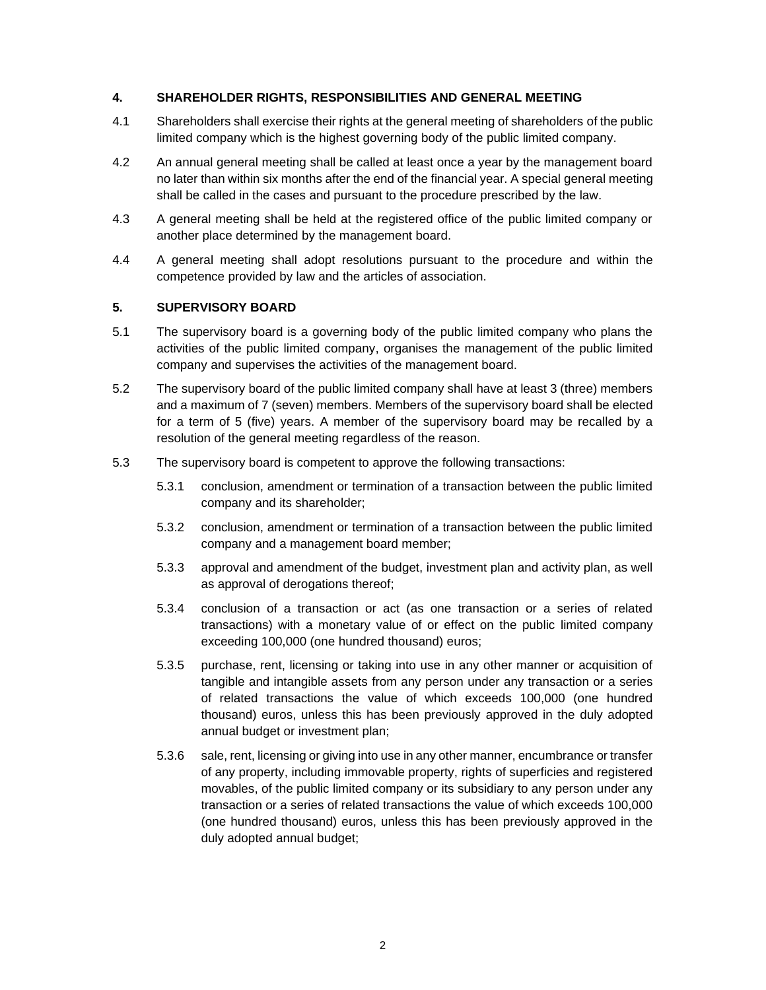## **4. SHAREHOLDER RIGHTS, RESPONSIBILITIES AND GENERAL MEETING**

- 4.1 Shareholders shall exercise their rights at the general meeting of shareholders of the public limited company which is the highest governing body of the public limited company.
- 4.2 An annual general meeting shall be called at least once a year by the management board no later than within six months after the end of the financial year. A special general meeting shall be called in the cases and pursuant to the procedure prescribed by the law.
- 4.3 A general meeting shall be held at the registered office of the public limited company or another place determined by the management board.
- 4.4 A general meeting shall adopt resolutions pursuant to the procedure and within the competence provided by law and the articles of association.

### **5. SUPERVISORY BOARD**

- 5.1 The supervisory board is a governing body of the public limited company who plans the activities of the public limited company, organises the management of the public limited company and supervises the activities of the management board.
- 5.2 The supervisory board of the public limited company shall have at least 3 (three) members and a maximum of 7 (seven) members. Members of the supervisory board shall be elected for a term of 5 (five) years. A member of the supervisory board may be recalled by a resolution of the general meeting regardless of the reason.
- 5.3 The supervisory board is competent to approve the following transactions:
	- 5.3.1 conclusion, amendment or termination of a transaction between the public limited company and its shareholder;
	- 5.3.2 conclusion, amendment or termination of a transaction between the public limited company and a management board member;
	- 5.3.3 approval and amendment of the budget, investment plan and activity plan, as well as approval of derogations thereof;
	- 5.3.4 conclusion of a transaction or act (as one transaction or a series of related transactions) with a monetary value of or effect on the public limited company exceeding 100,000 (one hundred thousand) euros;
	- 5.3.5 purchase, rent, licensing or taking into use in any other manner or acquisition of tangible and intangible assets from any person under any transaction or a series of related transactions the value of which exceeds 100,000 (one hundred thousand) euros, unless this has been previously approved in the duly adopted annual budget or investment plan;
	- 5.3.6 sale, rent, licensing or giving into use in any other manner, encumbrance or transfer of any property, including immovable property, rights of superficies and registered movables, of the public limited company or its subsidiary to any person under any transaction or a series of related transactions the value of which exceeds 100,000 (one hundred thousand) euros, unless this has been previously approved in the duly adopted annual budget;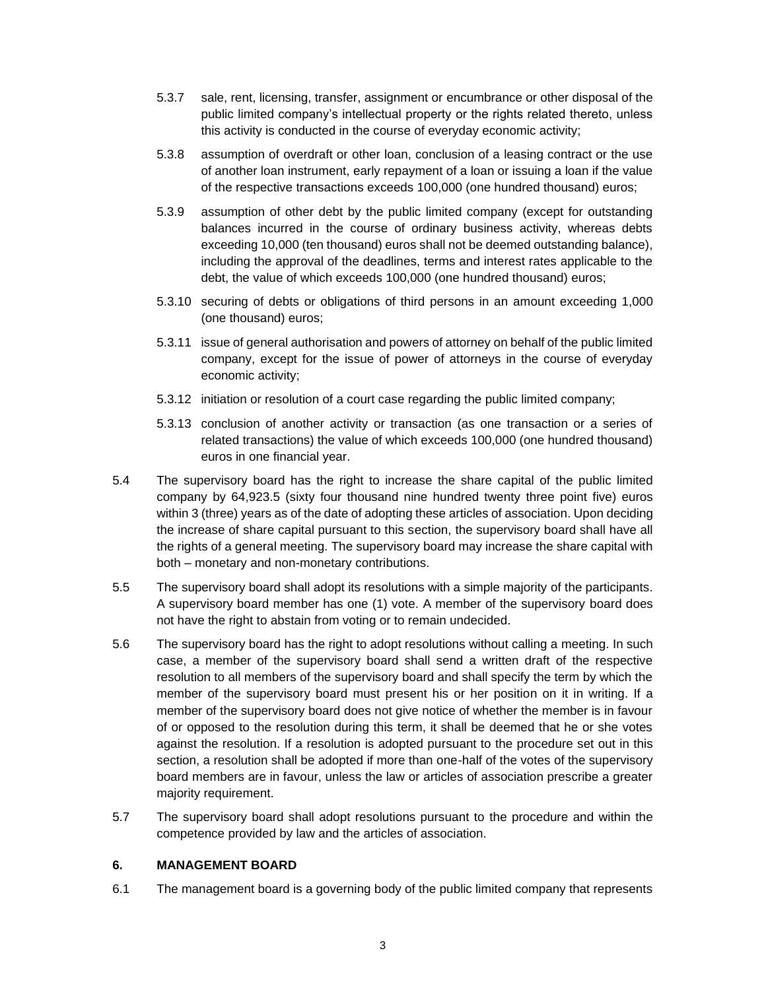- 5.3.7 sale, rent, licensing, transfer, assignment or encumbrance or other disposal of the public limited company's intellectual property or the rights related thereto, unless this activity is conducted in the course of everyday economic activity;
- 5.3.8 assumption of overdraft or other loan, conclusion of a leasing contract or the use of another loan instrument, early repayment of a loan or issuing a loan if the value of the respective transactions exceeds 100,000 (one hundred thousand) euros;
- 5.3.9 assumption of other debt by the public limited company (except for outstanding balances incurred in the course of ordinary business activity, whereas debts exceeding 10,000 (ten thousand) euros shall not be deemed outstanding balance), including the approval of the deadlines, terms and interest rates applicable to the debt, the value of which exceeds 100,000 (one hundred thousand) euros;
- 5.3.10 securing of debts or obligations of third persons in an amount exceeding 1,000 (one thousand) euros;
- 5.3.11 issue of general authorisation and powers of attorney on behalf of the public limited company, except for the issue of power of attorneys in the course of everyday economic activity;
- 5.3.12 initiation or resolution of a court case regarding the public limited company;
- 5.3.13 conclusion of another activity or transaction (as one transaction or a series of related transactions) the value of which exceeds 100,000 (one hundred thousand) euros in one financial year.
- 5.4 The supervisory board has the right to increase the share capital of the public limited company by 64,923.5 (sixty four thousand nine hundred twenty three point five) euros within 3 (three) years as of the date of adopting these articles of association. Upon deciding the increase of share capital pursuant to this section, the supervisory board shall have all the rights of a general meeting. The supervisory board may increase the share capital with both – monetary and non-monetary contributions.
- 5.5 The supervisory board shall adopt its resolutions with a simple majority of the participants. A supervisory board member has one (1) vote. A member of the supervisory board does not have the right to abstain from voting or to remain undecided.
- 5.6 The supervisory board has the right to adopt resolutions without calling a meeting. In such case, a member of the supervisory board shall send a written draft of the respective resolution to all members of the supervisory board and shall specify the term by which the member of the supervisory board must present his or her position on it in writing. If a member of the supervisory board does not give notice of whether the member is in favour of or opposed to the resolution during this term, it shall be deemed that he or she votes against the resolution. If a resolution is adopted pursuant to the procedure set out in this section, a resolution shall be adopted if more than one-half of the votes of the supervisory board members are in favour, unless the law or articles of association prescribe a greater majority requirement.
- 5.7 The supervisory board shall adopt resolutions pursuant to the procedure and within the competence provided by law and the articles of association.

#### **6. MANAGEMENT BOARD**

6.1 The management board is a governing body of the public limited company that represents